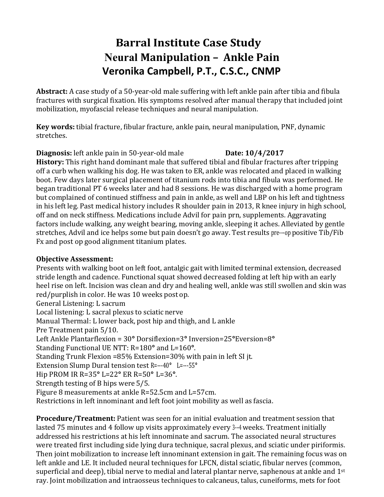# **Barral Institute Case Study Neural Manipulation – Ankle Pain Veronika Campbell, P.T., C.S.C., CNMP**

**Abstract:** A case study of a 50-year-old male suffering with left ankle pain after tibia and fibula fractures with surgical fixation. His symptoms resolved after manual therapy that included joint mobilization, myofascial release techniques and neural manipulation.

**Key words:** tibial fracture, fibular fracture, ankle pain, neural manipulation, PNF, dynamic stretches.

## **Diagnosis:** left ankle pain in 50-year-old male **Date:** 10/4/2017

**History:** This right hand dominant male that suffered tibial and fibular fractures after tripping off a curb when walking his dog. He was taken to ER, ankle was relocated and placed in walking boot. Few days later surgical placement of titanium rods into tibia and fibula was performed. He began traditional PT 6 weeks later and had 8 sessions. He was discharged with a home program but complained of continued stiffness and pain in ankle, as well and LBP on his left and tightness in his left leg. Past medical history includes R shoulder pain in 2013, R knee injury in high school, off and on neck stiffness. Medications include Advil for pain prn, supplements. Aggravating factors include walking, any weight bearing, moving ankle, sleeping it aches. Alleviated by gentle stretches, Advil and ice helps some but pain doesn't go away. Test results pre---op positive Tib/Fib Fx and post op good alignment titanium plates.

## **Objective Assessment:**

Presents with walking boot on left foot, antalgic gait with limited terminal extension, decreased stride length and cadence. Functional squat showed decreased folding at left hip with an early heel rise on left. Incision was clean and dry and healing well, ankle was still swollen and skin was red/purplish in color. He was 10 weeks post op. General Listening: L sacrum Local listening: L sacral plexus to sciatic nerve Manual Thermal: L lower back, post hip and thigh, and L ankle Pre Treatment pain 5/10. Left Ankle Plantarflexion = 30**°** Dorsiflexion=3**°** Inversion=25**°**Eversion=8**°**  Standing Functional UE NTT: R=180**°** and L=160**°**. Standing Trunk Flexion =85% Extension=30% with pain in left SI jt. Extension Slump Dural tension test R=---40**°** L=---55**°** Hip PROM IR R=35**°** L=22**°** ER R=50**°** L=36**°**. Strength testing of B hips were 5/5. Figure 8 measurements at ankle R=52.5cm and L=57cm. Restrictions in left innominant and left foot joint mobility as well as fascia.

**Procedure/Treatment:** Patient was seen for an initial evaluation and treatment session that lasted 75 minutes and 4 follow up visits approximately every 3-4 weeks. Treatment initially addressed his restrictions at his left innominate and sacrum. The associated neural structures were treated first including side lying dura technique, sacral plexus, and sciatic under piriformis. Then joint mobilization to increase left innominant extension in gait. The remaining focus was on left ankle and LE. It included neural techniques for LFCN, distal sciatic, fibular nerves (common, superficial and deep), tibial nerve to medial and lateral plantar nerve, saphenous at ankle and  $1<sup>st</sup>$ ray. Joint mobilization and intraosseus techniques to calcaneus, talus, cuneiforms, mets for foot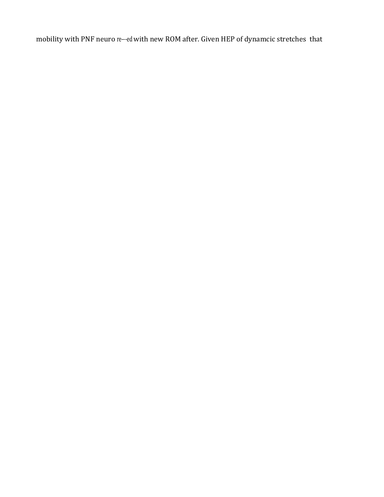mobility with PNF neuro re---ed with new ROM after. Given HEP of dynamcic stretches that